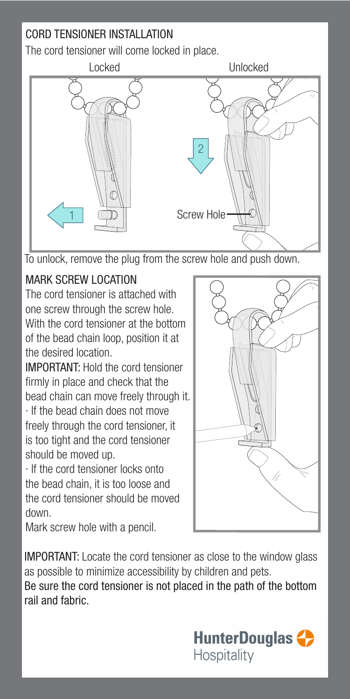## CORD TENSIONER INSTALLATION

The cord tensioner will come locked in place.



To unlock, remove the plug from the screw hole and push down.

## MARK SCREW LOCATION

The cord tensioner is attached with one screw through the screw hole. With the cord tensioner at the bottom of the bead chain loop, position it at the desired location.

IMPORTANT: Hold the cord tensioner firmly in place and check that the bead chain can move freely through it.

· If the bead chain does not move freely through the cord tensioner, it is too tight and the cord tensioner should be moved up.

· If the cord tensioner locks onto the bead chain, it is too loose and the cord tensioner should be moved down.

Mark screw hole with a pencil.

IMPORTANT: Locate the cord tensioner as close to the window glass as possible to minimize accessibility by children and pets.

Be sure the cord tensioner is not placed in the path of the bottom rail and fabric.

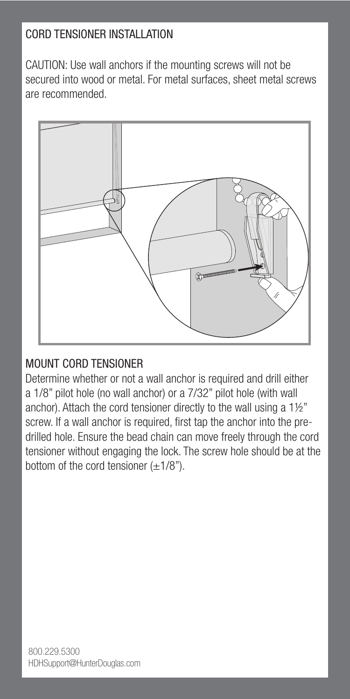## CORD TENSIONER INSTALLATION

CAUTION: Use wall anchors if the mounting screws will not be secured into wood or metal. For metal surfaces, sheet metal screws are recommended.



## MOUNT CORD TENSIONER

Determine whether or not a wall anchor is required and drill either a 1/8" pilot hole (no wall anchor) or a 7/32" pilot hole (with wall anchor). Attach the cord tensioner directly to the wall using a 1½" screw. If a wall anchor is required, first tap the anchor into the predrilled hole. Ensure the bead chain can move freely through the cord tensioner without engaging the lock. The screw hole should be at the bottom of the cord tensioner  $(\pm 1/8")$ .